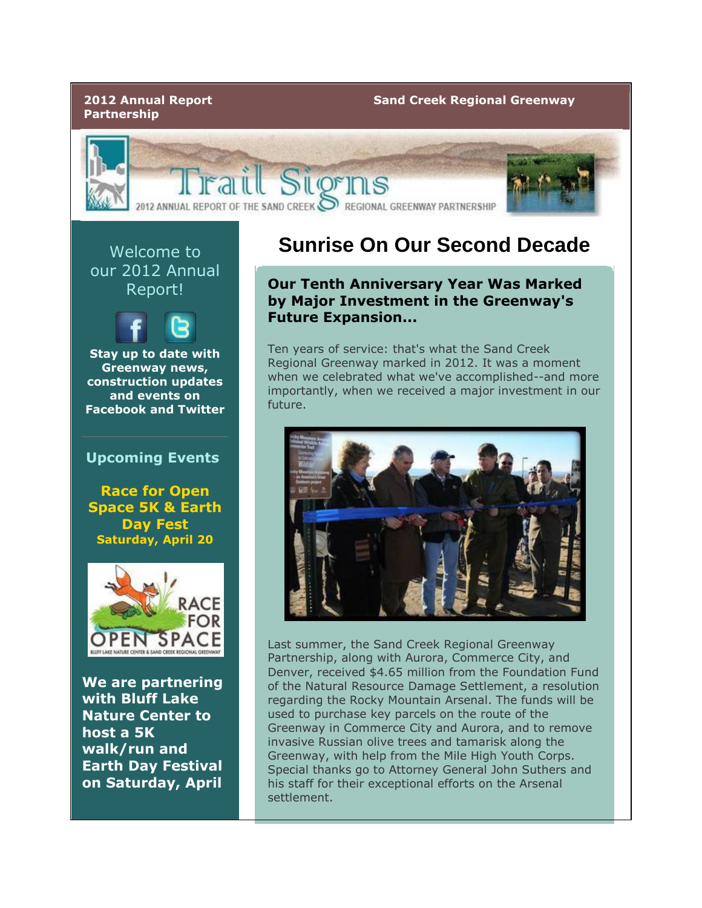# **Partnership**

#### **2012 Annual Report Sand Creek Regional Greenway**



Welcome to our 2012 Annual Report!



**Stay up to date with Greenway news, construction updates and events on Facebook and Twitter**

### **Upcoming Events**

**Race for Open Space 5K & Earth Day Fest Saturday, April 20**



**We are partnering with Bluff Lake Nature Center to host a 5K walk/run and Earth Day Festival on Saturday, April** 

## **Sunrise On Our Second Decade**

#### **Our Tenth Anniversary Year Was Marked by Major Investment in the Greenway's Future Expansion...**

Ten years of service: that's what the Sand Creek Regional Greenway marked in 2012. It was a moment when we celebrated what we've accomplished--and more importantly, when we received a major investment in our future.



Last summer, the Sand Creek Regional Greenway Partnership, along with Aurora, Commerce City, and Denver, received \$4.65 million from the Foundation Fund of the Natural Resource Damage Settlement, a resolution regarding the Rocky Mountain Arsenal. The funds will be used to purchase key parcels on the route of the Greenway in Commerce City and Aurora, and to remove invasive Russian olive trees and tamarisk along the Greenway, with help from the Mile High Youth Corps. Special thanks go to Attorney General John Suthers and his staff for their exceptional efforts on the Arsenal settlement.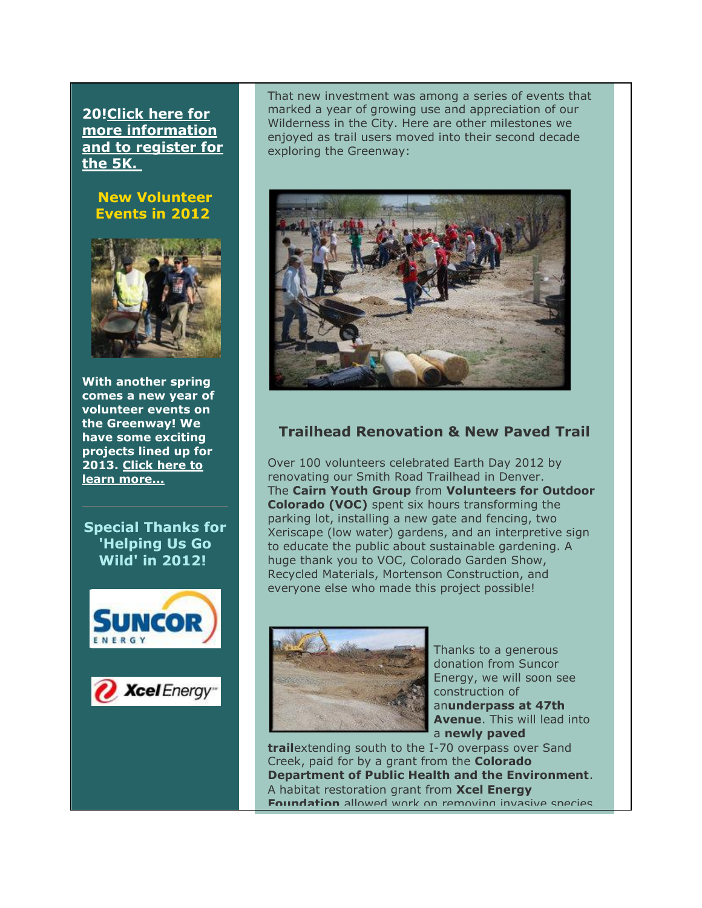**20[!Click here for](http://www.runningguru.com/EventInformation.asp?eID=RaceForOpenSpaceCO5K)  [more information](http://www.runningguru.com/EventInformation.asp?eID=RaceForOpenSpaceCO5K)  [and to register for](http://www.runningguru.com/EventInformation.asp?eID=RaceForOpenSpaceCO5K)  [the 5K.](http://www.runningguru.com/EventInformation.asp?eID=RaceForOpenSpaceCO5K)**

#### **New Volunteer Events in 2012**



**With another spring comes a new year of volunteer events on the Greenway! We have some exciting projects lined up for 2013. [Click here to](http://sandcreekgreenway.org/volunteer/)  [learn more...](http://sandcreekgreenway.org/volunteer/)**

**Special Thanks for 'Helping Us Go Wild' in 2012!**



That new investment was among a series of events that marked a year of growing use and appreciation of our Wilderness in the City. Here are other milestones we enjoyed as trail users moved into their second decade exploring the Greenway:



#### **Trailhead Renovation & New Paved Trail**

Over 100 volunteers celebrated Earth Day 2012 by renovating our Smith Road Trailhead in Denver. The **Cairn Youth Group** from **Volunteers for Outdoor Colorado (VOC)** spent six hours transforming the parking lot, installing a new gate and fencing, two Xeriscape (low water) gardens, and an interpretive sign to educate the public about sustainable gardening. A huge thank you to VOC, Colorado Garden Show, Recycled Materials, Mortenson Construction, and everyone else who made this project possible!



Thanks to a generous donation from Suncor Energy, we will soon see construction of an**underpass at 47th Avenue**. This will lead into a **newly paved** 

**trail**extending south to the I-70 overpass over Sand Creek, paid for by a grant from the **Colorado Department of Public Health and the Environment**. A habitat restoration grant from **Xcel Energy Foundation** allowed work on removing invasive species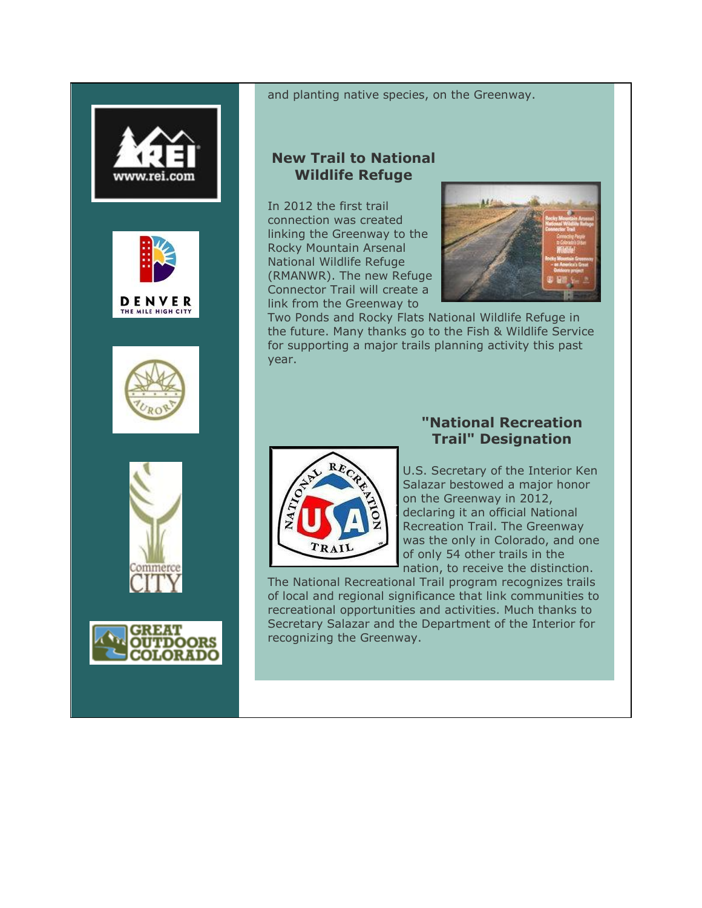









#### and planting native species, on the Greenway.

#### **New Trail to National Wildlife Refuge**

In 2012 the first trail connection was created linking the Greenway to the Rocky Mountain Arsenal National Wildlife Refuge (RMANWR). The new Refuge Connector Trail will create a link from the Greenway to



Two Ponds and Rocky Flats National Wildlife Refuge in the future. Many thanks go to the Fish & Wildlife Service for supporting a major trails planning activity this past year.

#### **"National Recreation Trail" Designation**

U.S. Secretary of the Interior Ken Salazar bestowed a major honor on the Greenway in 2012, declaring it an official National Recreation Trail. The Greenway was the only in Colorado, and one of only 54 other trails in the nation, to receive the distinction.

The National Recreational Trail program recognizes trails of local and regional significance that link communities to recreational opportunities and activities. Much thanks to Secretary Salazar and the Department of the Interior for recognizing the Greenway.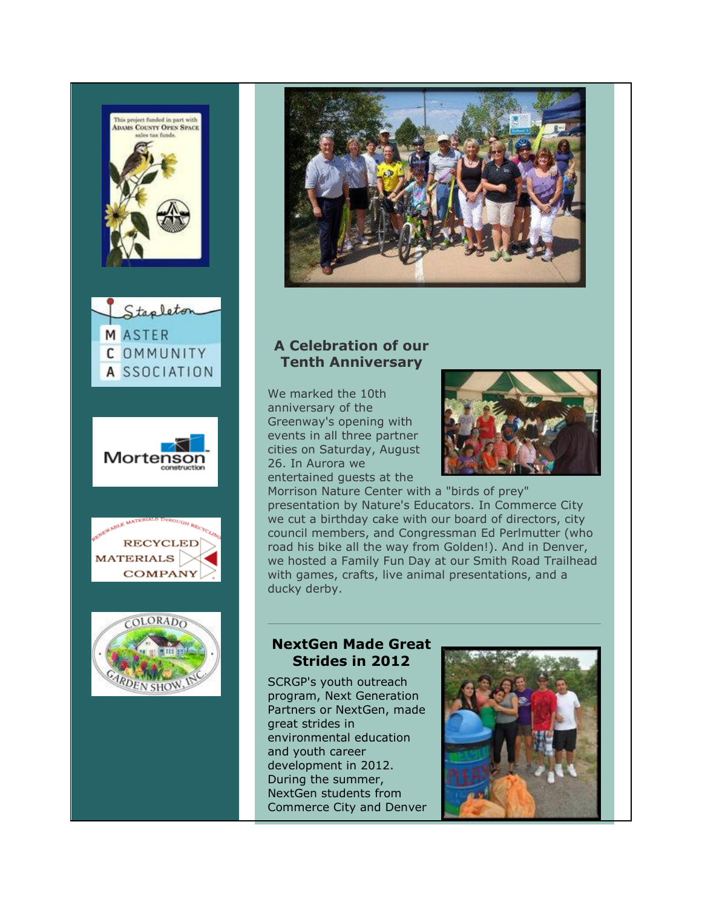



#### **A Celebration of our Tenth Anniversary**

We marked the 10th anniversary of the Greenway's opening with events in all three partner cities on Saturday, August 26. In Aurora we entertained guests at the



Morrison Nature Center with a "birds of prey" presentation by Nature's Educators. In Commerce City we cut a birthday cake with our board of directors, city council members, and Congressman Ed Perlmutter (who road his bike all the way from Golden!). And in Denver, we hosted a Family Fun Day at our Smith Road Trailhead with games, crafts, live animal presentations, and a ducky derby.

#### **NextGen Made Great Strides in 2012**

SCRGP's youth outreach program, Next Generation Partners or NextGen, made great strides in environmental education and youth career development in 2012. During the summer, NextGen students from Commerce City and Denver

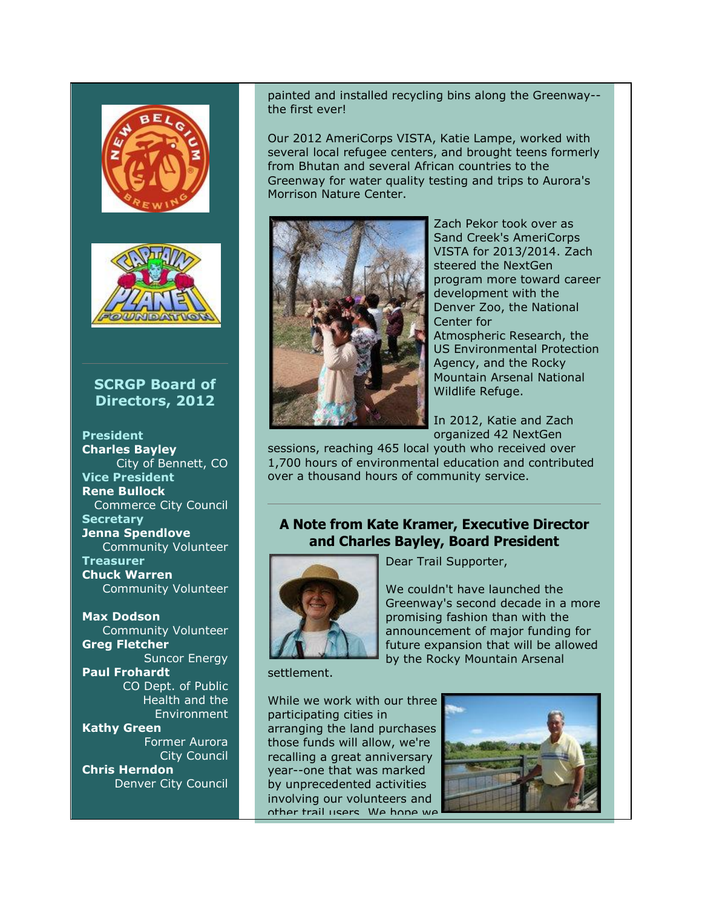



#### **SCRGP Board of Directors, 2012**

**President Charles Bayley** City of Bennett, CO **Vice President Rene Bullock** Commerce City Council **Secretary Jenna Spendlove** Community Volunteer **Treasurer Chuck Warren** Community Volunteer

**Max Dodson** Community Volunteer **Greg Fletcher** Suncor Energy **Paul Frohardt** CO Dept. of Public Health and the Environment **Kathy Green** Former Aurora City Council **Chris Herndon** Denver City Council

painted and installed recycling bins along the Greenway- the first ever!

Our 2012 AmeriCorps VISTA, Katie Lampe, worked with several local refugee centers, and brought teens formerly from Bhutan and several African countries to the Greenway for water quality testing and trips to Aurora's Morrison Nature Center.



Zach Pekor took over as Sand Creek's AmeriCorps VISTA for 2013/2014. Zach steered the NextGen program more toward career development with the Denver Zoo, the National Center for Atmospheric Research, the US Environmental Protection Agency, and the Rocky Mountain Arsenal National Wildlife Refuge.

In 2012, Katie and Zach organized 42 NextGen

sessions, reaching 465 local youth who received over 1,700 hours of environmental education and contributed over a thousand hours of community service.

#### **A Note from Kate Kramer, Executive Director and Charles Bayley, Board President**



Dear Trail Supporter,

We couldn't have launched the Greenway's second decade in a more promising fashion than with the announcement of major funding for future expansion that will be allowed by the Rocky Mountain Arsenal

settlement.

While we work with our three participating cities in arranging the land purchases those funds will allow, we're recalling a great anniversary year--one that was marked by unprecedented activities involving our volunteers and other trail users. We hope we

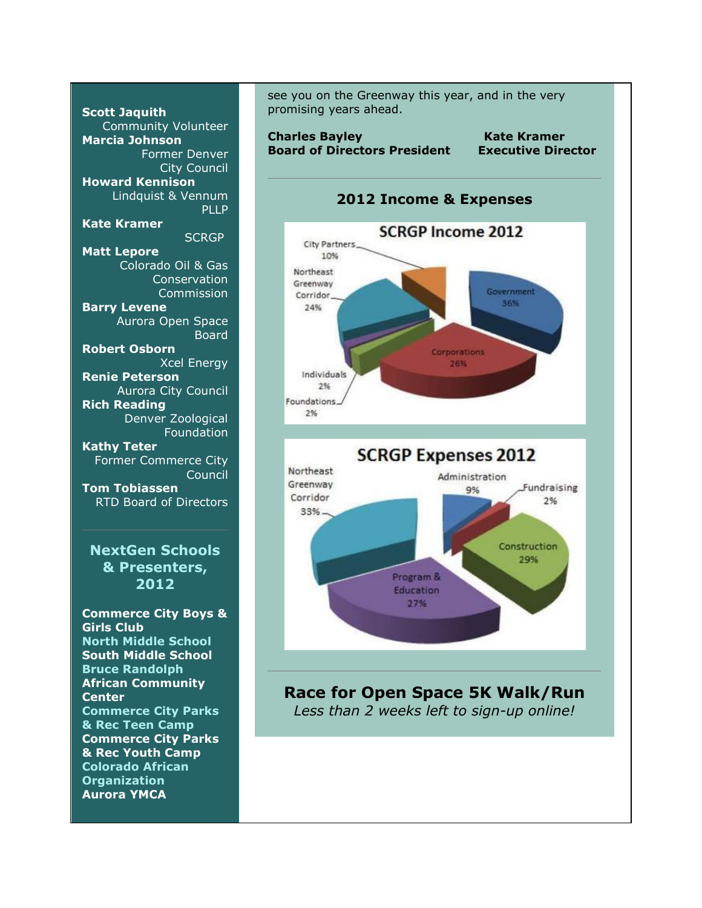see you on the Greenway this year, and in the very promising years ahead. **Scott Jaquith** Community Volunteer **Charles Bayley Manual Charles Bayley Kate Kramer Marcia Johnson Board of Directors President Executive Director** Former Denver City Council **Howard Kennison** Lindquist & Vennum **2012 Income & Expenses** PLLP **Kate Kramer SCRGP Income 2012 SCRGP** City Partners **Matt Lepore** 10% Colorado Oil & Gas Northeast **Conservation** Greenway Government Commission Corridor 36% **Barry Levene**  $24%$ Aurora Open Space Board **Robert Osborn Corporations** Xcel Energy 2686 Individuals **Renie Peterson**  $2%$ Aurora City Council Foundations\_ **Rich Reading** 2% Denver Zoological Foundation **Kathy Teter SCRGP Expenses 2012** Former Commerce City Northeast **Council** Administration Greenway **Tom Tobiassen** Fundraising 9% Corridor RTD Board of Directors 2% 33%. Construction **NextGen Schools**  29% **& Presenters,**  Program & **2012** Education 27% **Commerce City Boys & Girls Club North Middle School South Middle School Bruce Randolph African Community Race for Open Space 5K Walk/Run Center** *Less than 2 weeks left to sign-up online!***Commerce City Parks & Rec Teen Camp Commerce City Parks & Rec Youth Camp Colorado African Organization Aurora YMCA**